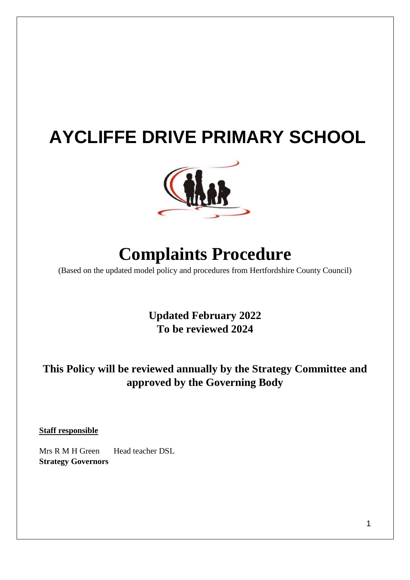# **AYCLIFFE DRIVE PRIMARY SCHOOL**



# **Complaints Procedure**

(Based on the updated model policy and procedures from Hertfordshire County Council)

**Updated February 2022 To be reviewed 2024** 

# **This Policy will be reviewed annually by the Strategy Committee and approved by the Governing Body**

**Staff responsible**

Mrs R M H Green Head teacher DSL **Strategy Governors**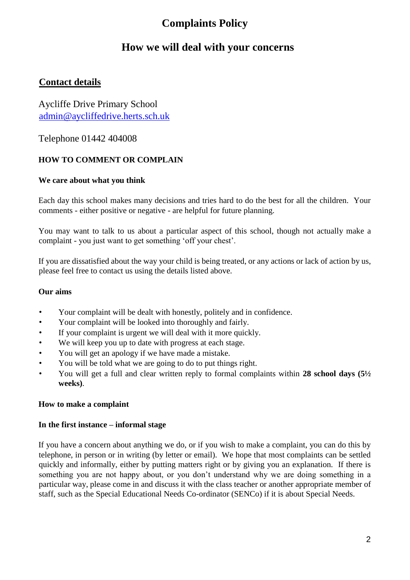# **Complaints Policy**

# **How we will deal with your concerns**

## **Contact details**

Aycliffe Drive Primary School admin@aycliffedrive.herts.sch.uk

Telephone 01442 404008

### **HOW TO COMMENT OR COMPLAIN**

#### **We care about what you think**

Each day this school makes many decisions and tries hard to do the best for all the children. Your comments - either positive or negative - are helpful for future planning.

You may want to talk to us about a particular aspect of this school, though not actually make a complaint - you just want to get something 'off your chest'.

If you are dissatisfied about the way your child is being treated, or any actions or lack of action by us, please feel free to contact us using the details listed above.

#### **Our aims**

- Your complaint will be dealt with honestly, politely and in confidence.
- Your complaint will be looked into thoroughly and fairly.
- If your complaint is urgent we will deal with it more quickly.
- We will keep you up to date with progress at each stage.
- You will get an apology if we have made a mistake.
- You will be told what we are going to do to put things right.
- You will get a full and clear written reply to formal complaints within **28 school days (5½ weeks)**.

#### **How to make a complaint**

#### **In the first instance – informal stage**

If you have a concern about anything we do, or if you wish to make a complaint, you can do this by telephone, in person or in writing (by letter or email). We hope that most complaints can be settled quickly and informally, either by putting matters right or by giving you an explanation. If there is something you are not happy about, or you don't understand why we are doing something in a particular way, please come in and discuss it with the class teacher or another appropriate member of staff, such as the Special Educational Needs Co-ordinator (SENCo) if it is about Special Needs.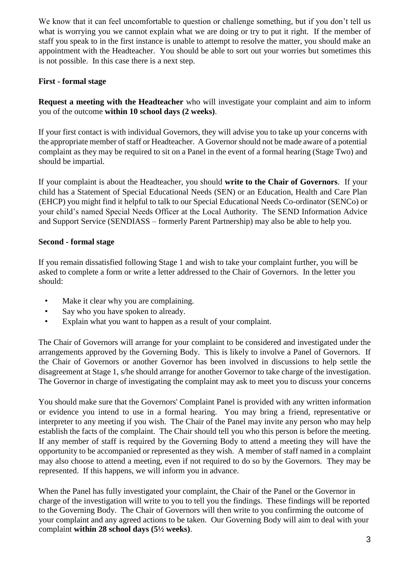We know that it can feel uncomfortable to question or challenge something, but if you don't tell us what is worrying you we cannot explain what we are doing or try to put it right. If the member of staff you speak to in the first instance is unable to attempt to resolve the matter, you should make an appointment with the Headteacher. You should be able to sort out your worries but sometimes this is not possible. In this case there is a next step.

#### **First - formal stage**

**Request a meeting with the Headteacher** who will investigate your complaint and aim to inform you of the outcome **within 10 school days (2 weeks)**.

If your first contact is with individual Governors, they will advise you to take up your concerns with the appropriate member of staff or Headteacher. A Governor should not be made aware of a potential complaint as they may be required to sit on a Panel in the event of a formal hearing (Stage Two) and should be impartial.

If your complaint is about the Headteacher, you should **write to the Chair of Governors**. If your child has a Statement of Special Educational Needs (SEN) or an Education, Health and Care Plan (EHCP) you might find it helpful to talk to our Special Educational Needs Co-ordinator (SENCo) or your child's named Special Needs Officer at the Local Authority. The SEND Information Advice and Support Service (SENDIASS – formerly Parent Partnership) may also be able to help you.

#### **Second - formal stage**

If you remain dissatisfied following Stage 1 and wish to take your complaint further, you will be asked to complete a form or write a letter addressed to the Chair of Governors. In the letter you should:

- Make it clear why you are complaining.
- Say who you have spoken to already.
- Explain what you want to happen as a result of your complaint.

The Chair of Governors will arrange for your complaint to be considered and investigated under the arrangements approved by the Governing Body. This is likely to involve a Panel of Governors. If the Chair of Governors or another Governor has been involved in discussions to help settle the disagreement at Stage 1, s/he should arrange for another Governor to take charge of the investigation. The Governor in charge of investigating the complaint may ask to meet you to discuss your concerns

You should make sure that the Governors' Complaint Panel is provided with any written information or evidence you intend to use in a formal hearing. You may bring a friend, representative or interpreter to any meeting if you wish. The Chair of the Panel may invite any person who may help establish the facts of the complaint. The Chair should tell you who this person is before the meeting. If any member of staff is required by the Governing Body to attend a meeting they will have the opportunity to be accompanied or represented as they wish. A member of staff named in a complaint may also choose to attend a meeting, even if not required to do so by the Governors. They may be represented. If this happens, we will inform you in advance.

When the Panel has fully investigated your complaint, the Chair of the Panel or the Governor in charge of the investigation will write to you to tell you the findings. These findings will be reported to the Governing Body. The Chair of Governors will then write to you confirming the outcome of your complaint and any agreed actions to be taken. Our Governing Body will aim to deal with your complaint **within 28 school days (5½ weeks)**.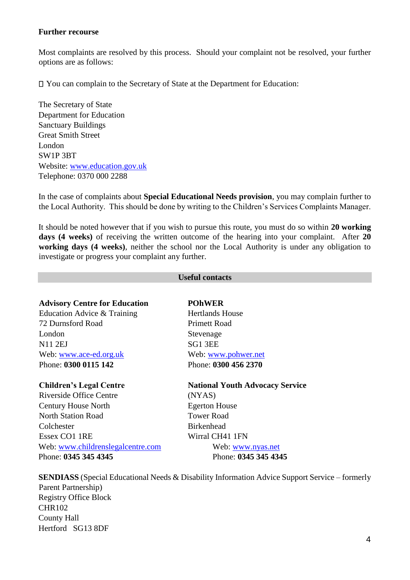#### **Further recourse**

Most complaints are resolved by this process. Should your complaint not be resolved, your further options are as follows:

You can complain to the Secretary of State at the Department for Education:

The Secretary of State Department for Education Sanctuary Buildings Great Smith Street London SW1P 3BT Website: [www.education.gov.uk](http://www.education.gov.uk/) Telephone: 0370 000 2288

In the case of complaints about **Special Educational Needs provision**, you may complain further to the Local Authority. This should be done by writing to the Children's Services Complaints Manager.

It should be noted however that if you wish to pursue this route, you must do so within **20 working days (4 weeks)** of receiving the written outcome of the hearing into your complaint. After **20 working days (4 weeks)**, neither the school nor the Local Authority is under any obligation to investigate or progress your complaint any further.

#### **Useful contacts**

#### **Advisory Centre for Education POhWER**

Education Advice & Training Hertlands House 72 Durnsford Road Primett Road London Stevenage N11 2EJ SG1 3EE Web: [www.ace-ed.org.uk](http://www.ace-ed.org.uk/) Web: [www.pohwer.net](http://www.pohwer.net/) Phone: **0300 0115 142** Phone: **0300 456 2370** 

Riverside Office Centre (NYAS) Century House North Egerton House North Station Road Tower Road Colchester **Birkenhead** Essex CO1 1RE Wirral CH41 1FN Web: [www.childrenslegalcentre.com](http://www.childrenslegalcentre.com/) Web: [www.nyas.net](http://www.nyas.net/) Phone: **0345 345 4345** Phone: **0345 345 4345** 

#### **Children's Legal Centre Mational Youth Advocacy Service**

**SENDIASS** (Special Educational Needs & Disability Information Advice Support Service – formerly Parent Partnership) Registry Office Block CHR102 County Hall Hertford SG13 8DF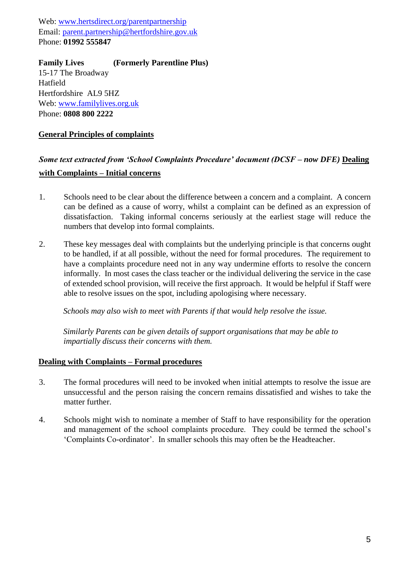Web: [www.hertsdirect.org/parentpartnership](http://www.hertsdirect.org/parentpartnership) Email: parent.partnership@hertfordshire.gov.uk Phone: **01992 555847** 

**Family Lives (Formerly Parentline Plus)**  15-17 The Broadway Hatfield Hertfordshire AL9 5HZ Web: [www.familylives.org.uk](http://www.familylives.org.uk/) Phone: **0808 800 2222** 

#### **General Principles of complaints**

## *Some text extracted from 'School Complaints Procedure' document (DCSF – now DFE)* **Dealing with Complaints – Initial concerns**

- 1. Schools need to be clear about the difference between a concern and a complaint. A concern can be defined as a cause of worry, whilst a complaint can be defined as an expression of dissatisfaction. Taking informal concerns seriously at the earliest stage will reduce the numbers that develop into formal complaints.
- 2. These key messages deal with complaints but the underlying principle is that concerns ought to be handled, if at all possible, without the need for formal procedures. The requirement to have a complaints procedure need not in any way undermine efforts to resolve the concern informally. In most cases the class teacher or the individual delivering the service in the case of extended school provision, will receive the first approach. It would be helpful if Staff were able to resolve issues on the spot, including apologising where necessary.

*Schools may also wish to meet with Parents if that would help resolve the issue.* 

*Similarly Parents can be given details of support organisations that may be able to impartially discuss their concerns with them.* 

#### **Dealing with Complaints – Formal procedures**

- 3. The formal procedures will need to be invoked when initial attempts to resolve the issue are unsuccessful and the person raising the concern remains dissatisfied and wishes to take the matter further.
- 4. Schools might wish to nominate a member of Staff to have responsibility for the operation and management of the school complaints procedure. They could be termed the school's 'Complaints Co-ordinator'. In smaller schools this may often be the Headteacher.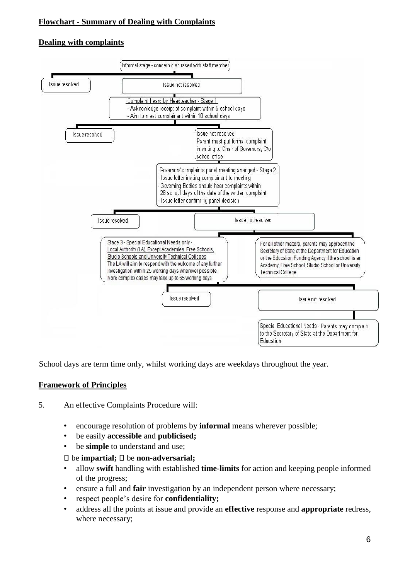### **Flowchart - Summary of Dealing with Complaints**

### **Dealing with complaints**



#### School days are term time only, whilst working days are weekdays throughout the year.

### **Framework of Principles**

#### 5. An effective Complaints Procedure will:

- encourage resolution of problems by **informal** means wherever possible;
- be easily **accessible** and **publicised;**
- be **simple** to understand and use;

#### be **impartial;** be **non-adversarial;**

- allow **swift** handling with established **time-limits** for action and keeping people informed of the progress;
- ensure a full and **fair** investigation by an independent person where necessary;
- respect people's desire for **confidentiality;**
- address all the points at issue and provide an **effective** response and **appropriate** redress, where necessary;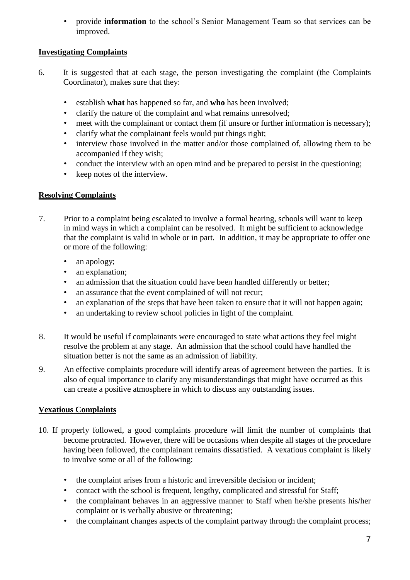• provide **information** to the school's Senior Management Team so that services can be improved.

### **Investigating Complaints**

- 6. It is suggested that at each stage, the person investigating the complaint (the Complaints Coordinator), makes sure that they:
	- establish **what** has happened so far, and **who** has been involved;
	- clarify the nature of the complaint and what remains unresolved;
	- meet with the complainant or contact them (if unsure or further information is necessary);
	- clarify what the complainant feels would put things right;
	- interview those involved in the matter and/or those complained of, allowing them to be accompanied if they wish;
	- conduct the interview with an open mind and be prepared to persist in the questioning;
	- keep notes of the interview.

#### **Resolving Complaints**

- 7. Prior to a complaint being escalated to involve a formal hearing, schools will want to keep in mind ways in which a complaint can be resolved. It might be sufficient to acknowledge that the complaint is valid in whole or in part. In addition, it may be appropriate to offer one or more of the following:
	- an apology;
	- an explanation;
	- an admission that the situation could have been handled differently or better;
	- an assurance that the event complained of will not recur;
	- an explanation of the steps that have been taken to ensure that it will not happen again;
	- an undertaking to review school policies in light of the complaint.
- 8. It would be useful if complainants were encouraged to state what actions they feel might resolve the problem at any stage. An admission that the school could have handled the situation better is not the same as an admission of liability.
- 9. An effective complaints procedure will identify areas of agreement between the parties. It is also of equal importance to clarify any misunderstandings that might have occurred as this can create a positive atmosphere in which to discuss any outstanding issues.

### **Vexatious Complaints**

- 10. If properly followed, a good complaints procedure will limit the number of complaints that become protracted. However, there will be occasions when despite all stages of the procedure having been followed, the complainant remains dissatisfied. A vexatious complaint is likely to involve some or all of the following:
	- the complaint arises from a historic and irreversible decision or incident;
	- contact with the school is frequent, lengthy, complicated and stressful for Staff;
	- the complainant behaves in an aggressive manner to Staff when he/she presents his/her complaint or is verbally abusive or threatening;
	- the complainant changes aspects of the complaint partway through the complaint process;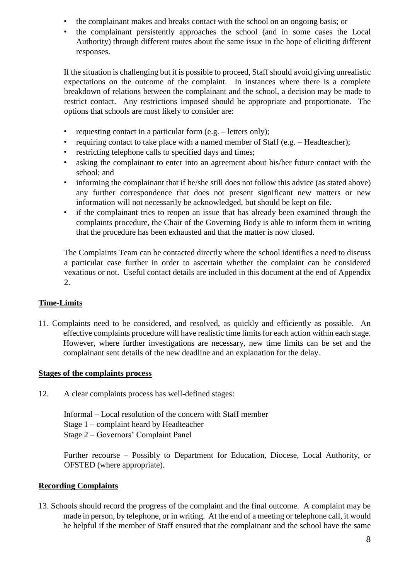- the complainant makes and breaks contact with the school on an ongoing basis; or
- the complainant persistently approaches the school (and in some cases the Local Authority) through different routes about the same issue in the hope of eliciting different responses.

If the situation is challenging but it is possible to proceed, Staff should avoid giving unrealistic expectations on the outcome of the complaint. In instances where there is a complete breakdown of relations between the complainant and the school, a decision may be made to restrict contact. Any restrictions imposed should be appropriate and proportionate. The options that schools are most likely to consider are:

- requesting contact in a particular form (e.g. letters only);
- requiring contact to take place with a named member of Staff (e.g. Headteacher);
- restricting telephone calls to specified days and times;
- asking the complainant to enter into an agreement about his/her future contact with the school; and
- informing the complainant that if he/she still does not follow this advice (as stated above) any further correspondence that does not present significant new matters or new information will not necessarily be acknowledged, but should be kept on file.
- if the complainant tries to reopen an issue that has already been examined through the complaints procedure, the Chair of the Governing Body is able to inform them in writing that the procedure has been exhausted and that the matter is now closed.

The Complaints Team can be contacted directly where the school identifies a need to discuss a particular case further in order to ascertain whether the complaint can be considered vexatious or not. Useful contact details are included in this document at the end of Appendix 2.

### **Time-Limits**

11. Complaints need to be considered, and resolved, as quickly and efficiently as possible. An effective complaints procedure will have realistic time limits for each action within each stage. However, where further investigations are necessary, new time limits can be set and the complainant sent details of the new deadline and an explanation for the delay.

#### **Stages of the complaints process**

12. A clear complaints process has well-defined stages:

Informal – Local resolution of the concern with Staff member Stage 1 – complaint heard by Headteacher Stage 2 – Governors' Complaint Panel

Further recourse – Possibly to Department for Education, Diocese, Local Authority, or OFSTED (where appropriate).

#### **Recording Complaints**

13. Schools should record the progress of the complaint and the final outcome. A complaint may be made in person, by telephone, or in writing. At the end of a meeting or telephone call, it would be helpful if the member of Staff ensured that the complainant and the school have the same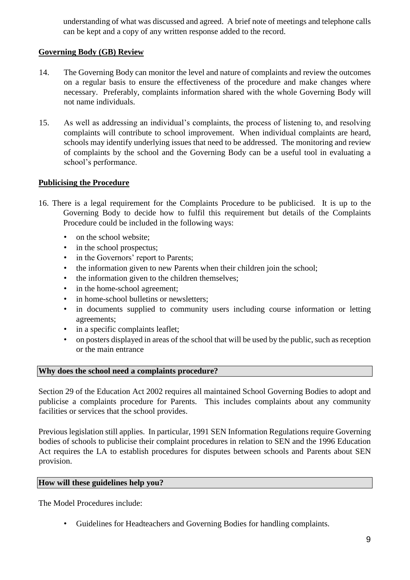understanding of what was discussed and agreed. A brief note of meetings and telephone calls can be kept and a copy of any written response added to the record.

#### **Governing Body (GB) Review**

- 14. The Governing Body can monitor the level and nature of complaints and review the outcomes on a regular basis to ensure the effectiveness of the procedure and make changes where necessary. Preferably, complaints information shared with the whole Governing Body will not name individuals.
- 15. As well as addressing an individual's complaints, the process of listening to, and resolving complaints will contribute to school improvement. When individual complaints are heard, schools may identify underlying issues that need to be addressed. The monitoring and review of complaints by the school and the Governing Body can be a useful tool in evaluating a school's performance.

#### **Publicising the Procedure**

- 16. There is a legal requirement for the Complaints Procedure to be publicised. It is up to the Governing Body to decide how to fulfil this requirement but details of the Complaints Procedure could be included in the following ways:
	- on the school website;
	- in the school prospectus;
	- in the Governors' report to Parents;
	- the information given to new Parents when their children join the school:
	- the information given to the children themselves;
	- in the home-school agreement:
	- in home-school bulletins or newsletters:
	- in documents supplied to community users including course information or letting agreements;
	- in a specific complaints leaflet;
	- on posters displayed in areas of the school that will be used by the public, such as reception or the main entrance

#### **Why does the school need a complaints procedure?**

Section 29 of the Education Act 2002 requires all maintained School Governing Bodies to adopt and publicise a complaints procedure for Parents. This includes complaints about any community facilities or services that the school provides.

Previous legislation still applies. In particular, 1991 SEN Information Regulations require Governing bodies of schools to publicise their complaint procedures in relation to SEN and the 1996 Education Act requires the LA to establish procedures for disputes between schools and Parents about SEN provision.

#### **How will these guidelines help you?**

The Model Procedures include:

• Guidelines for Headteachers and Governing Bodies for handling complaints.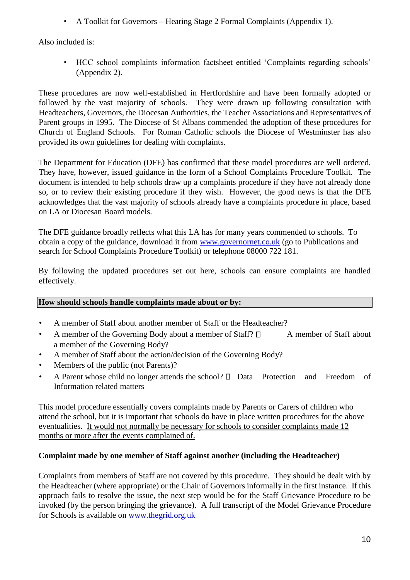• A Toolkit for Governors – Hearing Stage 2 Formal Complaints (Appendix 1).

Also included is:

• HCC school complaints information factsheet entitled 'Complaints regarding schools' (Appendix 2).

These procedures are now well-established in Hertfordshire and have been formally adopted or followed by the vast majority of schools. They were drawn up following consultation with Headteachers, Governors, the Diocesan Authorities, the Teacher Associations and Representatives of Parent groups in 1995. The Diocese of St Albans commended the adoption of these procedures for Church of England Schools. For Roman Catholic schools the Diocese of Westminster has also provided its own guidelines for dealing with complaints.

The Department for Education (DFE) has confirmed that these model procedures are well ordered. They have, however, issued guidance in the form of a School Complaints Procedure Toolkit. The document is intended to help schools draw up a complaints procedure if they have not already done so, or to review their existing procedure if they wish. However, the good news is that the DFE acknowledges that the vast majority of schools already have a complaints procedure in place, based on LA or Diocesan Board models.

The DFE guidance broadly reflects what this LA has for many years commended to schools. To obtain a copy of the guidance, download it from [www.governornet.co.uk](http://www.governornet.co.uk/) (go to Publications and search for School Complaints Procedure Toolkit) or telephone 08000 722 181.

By following the updated procedures set out here, schools can ensure complaints are handled effectively.

### **How should schools handle complaints made about or by:**

- A member of Staff about another member of Staff or the Headteacher?
- A member of the Governing Body about a member of Staff?  $\Box$  A member of Staff about a member of the Governing Body?
- A member of Staff about the action/decision of the Governing Body?
- Members of the public (not Parents)?
- A Parent whose child no longer attends the school?  $\Box$  Data Protection and Freedom of Information related matters

This model procedure essentially covers complaints made by Parents or Carers of children who attend the school, but it is important that schools do have in place written procedures for the above eventualities. It would not normally be necessary for schools to consider complaints made 12 months or more after the events complained of.

### **Complaint made by one member of Staff against another (including the Headteacher)**

Complaints from members of Staff are not covered by this procedure. They should be dealt with by the Headteacher (where appropriate) or the Chair of Governors informally in the first instance. If this approach fails to resolve the issue, the next step would be for the Staff Grievance Procedure to be invoked (by the person bringing the grievance). A full transcript of the Model Grievance Procedure for Schools is available on [www.thegrid.org.uk](http://www.thegrid.org.uk/)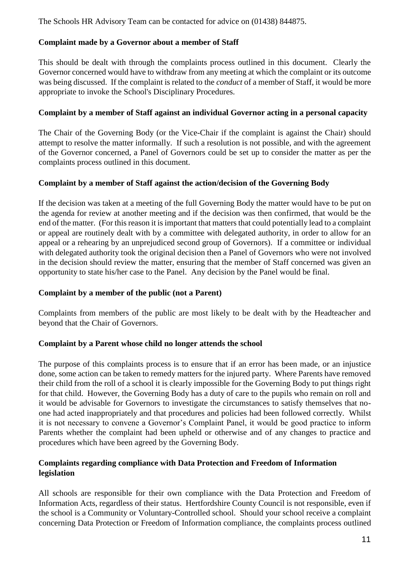The Schools HR Advisory Team can be contacted for advice on (01438) 844875.

#### **Complaint made by a Governor about a member of Staff**

This should be dealt with through the complaints process outlined in this document. Clearly the Governor concerned would have to withdraw from any meeting at which the complaint or its outcome was being discussed. If the complaint is related to the *conduct* of a member of Staff, it would be more appropriate to invoke the School's Disciplinary Procedures.

#### **Complaint by a member of Staff against an individual Governor acting in a personal capacity**

The Chair of the Governing Body (or the Vice-Chair if the complaint is against the Chair) should attempt to resolve the matter informally. If such a resolution is not possible, and with the agreement of the Governor concerned, a Panel of Governors could be set up to consider the matter as per the complaints process outlined in this document.

#### **Complaint by a member of Staff against the action/decision of the Governing Body**

If the decision was taken at a meeting of the full Governing Body the matter would have to be put on the agenda for review at another meeting and if the decision was then confirmed, that would be the end of the matter. (For this reason it is important that matters that could potentially lead to a complaint or appeal are routinely dealt with by a committee with delegated authority, in order to allow for an appeal or a rehearing by an unprejudiced second group of Governors). If a committee or individual with delegated authority took the original decision then a Panel of Governors who were not involved in the decision should review the matter, ensuring that the member of Staff concerned was given an opportunity to state his/her case to the Panel. Any decision by the Panel would be final.

#### **Complaint by a member of the public (not a Parent)**

Complaints from members of the public are most likely to be dealt with by the Headteacher and beyond that the Chair of Governors.

#### **Complaint by a Parent whose child no longer attends the school**

The purpose of this complaints process is to ensure that if an error has been made, or an injustice done, some action can be taken to remedy matters for the injured party. Where Parents have removed their child from the roll of a school it is clearly impossible for the Governing Body to put things right for that child. However, the Governing Body has a duty of care to the pupils who remain on roll and it would be advisable for Governors to investigate the circumstances to satisfy themselves that noone had acted inappropriately and that procedures and policies had been followed correctly. Whilst it is not necessary to convene a Governor's Complaint Panel, it would be good practice to inform Parents whether the complaint had been upheld or otherwise and of any changes to practice and procedures which have been agreed by the Governing Body.

#### **Complaints regarding compliance with Data Protection and Freedom of Information legislation**

All schools are responsible for their own compliance with the Data Protection and Freedom of Information Acts, regardless of their status. Hertfordshire County Council is not responsible, even if the school is a Community or Voluntary-Controlled school. Should your school receive a complaint concerning Data Protection or Freedom of Information compliance, the complaints process outlined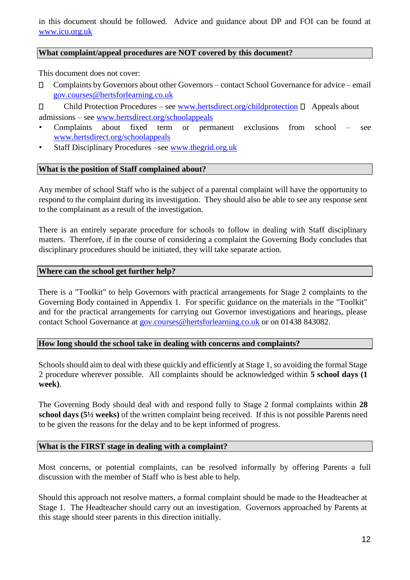in this document should be followed. Advice and guidance about DP and FOI can be found at [www.ico.org.uk](http://www.ico.org.uk/)

#### **What complaint/appeal procedures are NOT covered by this document?**

This document does not cover:

 $\Box$ Complaints by Governors about other Governors – contact School Governance for advice – email gov.courses@hertsforlearning.co.uk

 $\Box$ Child Protection Procedures – see [www.hertsdirect.org/childprotection](http://www.hertsdirect.org/childprotection)  $\Box$  Appeals about admissions – see [www.hertsdirect.org/schoolappeals](http://www.hertsdirect.org/schoolappeals)

- Complaints about fixed term or permanent exclusions from school see [www.hertsdirect.org/schoolappeals](http://www.hertsdirect.org/schoolappeals)
- Staff Disciplinary Procedures –see [www.thegrid.org.uk](http://www.thegrid.org.uk/)

#### **What is the position of Staff complained about?**

Any member of school Staff who is the subject of a parental complaint will have the opportunity to respond to the complaint during its investigation. They should also be able to see any response sent to the complainant as a result of the investigation.

There is an entirely separate procedure for schools to follow in dealing with Staff disciplinary matters. Therefore, if in the course of considering a complaint the Governing Body concludes that disciplinary procedures should be initiated, they will take separate action.

#### **Where can the school get further help?**

There is a "Toolkit" to help Governors with practical arrangements for Stage 2 complaints to the Governing Body contained in Appendix 1. For specific guidance on the materials in the "Toolkit" and for the practical arrangements for carrying out Governor investigations and hearings, please contact School Governance at gov.courses@hertsforlearning.co.uk or on 01438 843082.

#### **How long should the school take in dealing with concerns and complaints?**

Schools should aim to deal with these quickly and efficiently at Stage 1, so avoiding the formal Stage 2 procedure wherever possible. All complaints should be acknowledged within **5 school days (1 week)**.

The Governing Body should deal with and respond fully to Stage 2 formal complaints within **28 school days (5½ weeks)** of the written complaint being received. If this is not possible Parents need to be given the reasons for the delay and to be kept informed of progress.

#### **What is the FIRST stage in dealing with a complaint?**

Most concerns, or potential complaints, can be resolved informally by offering Parents a full discussion with the member of Staff who is best able to help.

Should this approach not resolve matters, a formal complaint should be made to the Headteacher at Stage 1. The Headteacher should carry out an investigation. Governors approached by Parents at this stage should steer parents in this direction initially.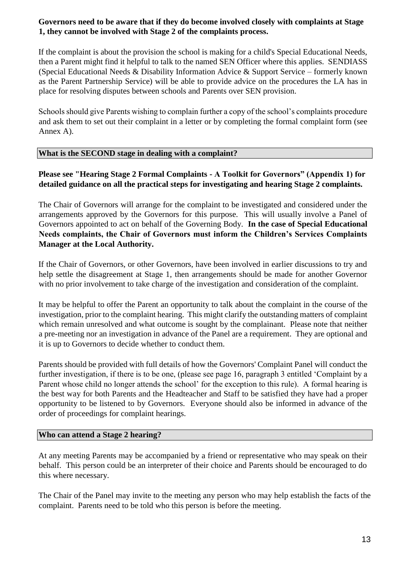#### **Governors need to be aware that if they do become involved closely with complaints at Stage 1, they cannot be involved with Stage 2 of the complaints process.**

If the complaint is about the provision the school is making for a child's Special Educational Needs, then a Parent might find it helpful to talk to the named SEN Officer where this applies. SENDIASS (Special Educational Needs & Disability Information Advice & Support Service – formerly known as the Parent Partnership Service) will be able to provide advice on the procedures the LA has in place for resolving disputes between schools and Parents over SEN provision.

Schools should give Parents wishing to complain further a copy of the school's complaints procedure and ask them to set out their complaint in a letter or by completing the formal complaint form (see Annex A).

#### **What is the SECOND stage in dealing with a complaint?**

#### **Please see "Hearing Stage 2 Formal Complaints - A Toolkit for Governors" (Appendix 1) for detailed guidance on all the practical steps for investigating and hearing Stage 2 complaints.**

The Chair of Governors will arrange for the complaint to be investigated and considered under the arrangements approved by the Governors for this purpose. This will usually involve a Panel of Governors appointed to act on behalf of the Governing Body. **In the case of Special Educational Needs complaints, the Chair of Governors must inform the Children's Services Complaints Manager at the Local Authority.** 

If the Chair of Governors, or other Governors, have been involved in earlier discussions to try and help settle the disagreement at Stage 1, then arrangements should be made for another Governor with no prior involvement to take charge of the investigation and consideration of the complaint.

It may be helpful to offer the Parent an opportunity to talk about the complaint in the course of the investigation, prior to the complaint hearing. This might clarify the outstanding matters of complaint which remain unresolved and what outcome is sought by the complainant. Please note that neither a pre-meeting nor an investigation in advance of the Panel are a requirement. They are optional and it is up to Governors to decide whether to conduct them.

Parents should be provided with full details of how the Governors' Complaint Panel will conduct the further investigation, if there is to be one, (please see page 16, paragraph 3 entitled 'Complaint by a Parent whose child no longer attends the school' for the exception to this rule). A formal hearing is the best way for both Parents and the Headteacher and Staff to be satisfied they have had a proper opportunity to be listened to by Governors. Everyone should also be informed in advance of the order of proceedings for complaint hearings.

#### **Who can attend a Stage 2 hearing?**

At any meeting Parents may be accompanied by a friend or representative who may speak on their behalf. This person could be an interpreter of their choice and Parents should be encouraged to do this where necessary.

The Chair of the Panel may invite to the meeting any person who may help establish the facts of the complaint. Parents need to be told who this person is before the meeting.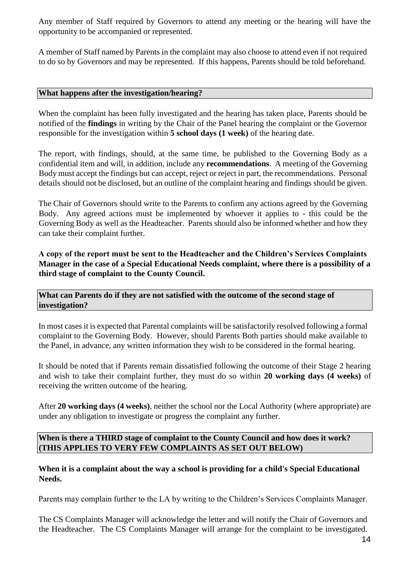Any member of Staff required by Governors to attend any meeting or the hearing will have the opportunity to be accompanied or represented.

A member of Staff named by Parents in the complaint may also choose to attend even if not required to do so by Governors and may be represented. If this happens, Parents should be told beforehand.

#### **What happens after the investigation/hearing?**

When the complaint has been fully investigated and the hearing has taken place, Parents should be notified of the **findings** in writing by the Chair of the Panel hearing the complaint or the Governor responsible for the investigation within **5 school days (1 week)** of the hearing date.

The report, with findings, should, at the same time, be published to the Governing Body as a confidential item and will, in addition, include any **recommendations**. A meeting of the Governing Body must accept the findings but can accept, reject or reject in part, the recommendations. Personal details should not be disclosed, but an outline of the complaint hearing and findings should be given.

The Chair of Governors should write to the Parents to confirm any actions agreed by the Governing Body. Any agreed actions must be implemented by whoever it applies to - this could be the Governing Body as well as the Headteacher. Parents should also be informed whether and how they can take their complaint further.

**A copy of the report must be sent to the Headteacher and the Children's Services Complaints Manager in the case of a Special Educational Needs complaint, where there is a possibility of a third stage of complaint to the County Council.** 

**What can Parents do if they are not satisfied with the outcome of the second stage of investigation?** 

In most cases it is expected that Parental complaints will be satisfactorily resolved following a formal complaint to the Governing Body. However, should Parents Both parties should make available to the Panel, in advance, any written information they wish to be considered in the formal hearing.

It should be noted that if Parents remain dissatisfied following the outcome of their Stage 2 hearing and wish to take their complaint further, they must do so within **20 working days (4 weeks)** of receiving the written outcome of the hearing.

After **20 working days (4 weeks)**, neither the school nor the Local Authority (where appropriate) are under any obligation to investigate or progress the complaint any further.

**When is there a THIRD stage of complaint to the County Council and how does it work? (THIS APPLIES TO VERY FEW COMPLAINTS AS SET OUT BELOW)** 

**When it is a complaint about the way a school is providing for a child's Special Educational Needs.** 

Parents may complain further to the LA by writing to the Children's Services Complaints Manager.

The CS Complaints Manager will acknowledge the letter and will notify the Chair of Governors and the Headteacher. The CS Complaints Manager will arrange for the complaint to be investigated.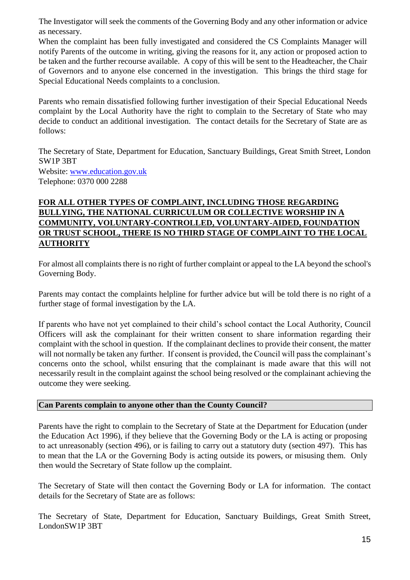The Investigator will seek the comments of the Governing Body and any other information or advice as necessary.

When the complaint has been fully investigated and considered the CS Complaints Manager will notify Parents of the outcome in writing, giving the reasons for it, any action or proposed action to be taken and the further recourse available. A copy of this will be sent to the Headteacher, the Chair of Governors and to anyone else concerned in the investigation. This brings the third stage for Special Educational Needs complaints to a conclusion.

Parents who remain dissatisfied following further investigation of their Special Educational Needs complaint by the Local Authority have the right to complain to the Secretary of State who may decide to conduct an additional investigation. The contact details for the Secretary of State are as follows:

The Secretary of State, Department for Education, Sanctuary Buildings, Great Smith Street, London SW1P 3BT Website: [www.education.gov.uk](http://www.education.gov.uk/) Telephone: 0370 000 2288

### **FOR ALL OTHER TYPES OF COMPLAINT, INCLUDING THOSE REGARDING BULLYING, THE NATIONAL CURRICULUM OR COLLECTIVE WORSHIP IN A COMMUNITY, VOLUNTARY-CONTROLLED, VOLUNTARY-AIDED, FOUNDATION OR TRUST SCHOOL, THERE IS NO THIRD STAGE OF COMPLAINT TO THE LOCAL AUTHORITY**

For almost all complaints there is no right of further complaint or appeal to the LA beyond the school's Governing Body.

Parents may contact the complaints helpline for further advice but will be told there is no right of a further stage of formal investigation by the LA.

If parents who have not yet complained to their child's school contact the Local Authority, Council Officers will ask the complainant for their written consent to share information regarding their complaint with the school in question. If the complainant declines to provide their consent, the matter will not normally be taken any further. If consent is provided, the Council will pass the complainant's concerns onto the school, whilst ensuring that the complainant is made aware that this will not necessarily result in the complaint against the school being resolved or the complainant achieving the outcome they were seeking.

#### **Can Parents complain to anyone other than the County Council?**

Parents have the right to complain to the Secretary of State at the Department for Education (under the Education Act 1996), if they believe that the Governing Body or the LA is acting or proposing to act unreasonably (section 496), or is failing to carry out a statutory duty (section 497). This has to mean that the LA or the Governing Body is acting outside its powers, or misusing them. Only then would the Secretary of State follow up the complaint.

The Secretary of State will then contact the Governing Body or LA for information. The contact details for the Secretary of State are as follows:

The Secretary of State, Department for Education, Sanctuary Buildings, Great Smith Street, LondonSW1P 3BT